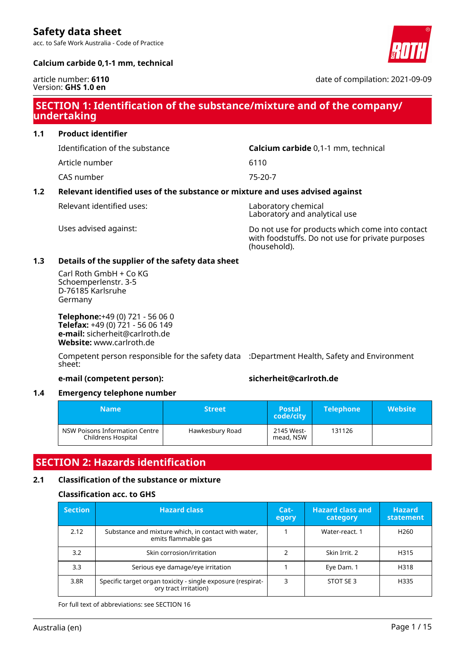acc. to Safe Work Australia - Code of Practice



## **Calcium carbide 0,1-1 mm, technical**

#### article number: **6110** Version: **GHS 1.0 en**

date of compilation: 2021-09-09

## **SECTION 1: Identification of the substance/mixture and of the company/ undertaking**

**1.1 Product identifier**

Identification of the substance **Calcium carbide** 0,1-1 mm, technical

Article number 6110

CAS number 75-20-7

## **1.2 Relevant identified uses of the substance or mixture and uses advised against**

Relevant identified uses: Laboratory chemical

Laboratory and analytical use

Uses advised against: Do not use for products which come into contact with foodstuffs. Do not use for private purposes (household).

## **1.3 Details of the supplier of the safety data sheet**

Carl Roth GmbH + Co KG Schoemperlenstr. 3-5 D-76185 Karlsruhe Germany

**Telephone:**+49 (0) 721 - 56 06 0 **Telefax:** +49 (0) 721 - 56 06 149 **e-mail:** sicherheit@carlroth.de **Website:** www.carlroth.de

Competent person responsible for the safety data :Department Health, Safety and Environment sheet:

## **e-mail (competent person): sicherheit@carlroth.de**

## **1.4 Emergency telephone number**

| <b>Name</b><br><b>Street</b>                         |                 | <b>Postal</b><br>code/city | <b>Telephone</b> | <b>Website</b> |
|------------------------------------------------------|-----------------|----------------------------|------------------|----------------|
| NSW Poisons Information Centre<br>Childrens Hospital | Hawkesbury Road | 2145 West-<br>mead, NSW    | 131126           |                |

## **SECTION 2: Hazards identification**

## **2.1 Classification of the substance or mixture**

## **Classification acc. to GHS**

| <b>Section</b> | <b>Hazard class</b>                                                                  | $Cat-$<br>egory | <b>Hazard class and</b><br>category | <b>Hazard</b><br>statement |
|----------------|--------------------------------------------------------------------------------------|-----------------|-------------------------------------|----------------------------|
| 2.12           | Substance and mixture which, in contact with water,<br>emits flammable gas           |                 | Water-react, 1                      | H <sub>260</sub>           |
| 3.2            | Skin corrosion/irritation                                                            |                 | Skin Irrit. 2                       | H315                       |
| 3.3            | Serious eye damage/eye irritation                                                    |                 | Eye Dam. 1                          | H318                       |
| 3.8R           | Specific target organ toxicity - single exposure (respirat-<br>ory tract irritation) |                 | STOT SE3                            | H335                       |

For full text of abbreviations: see SECTION 16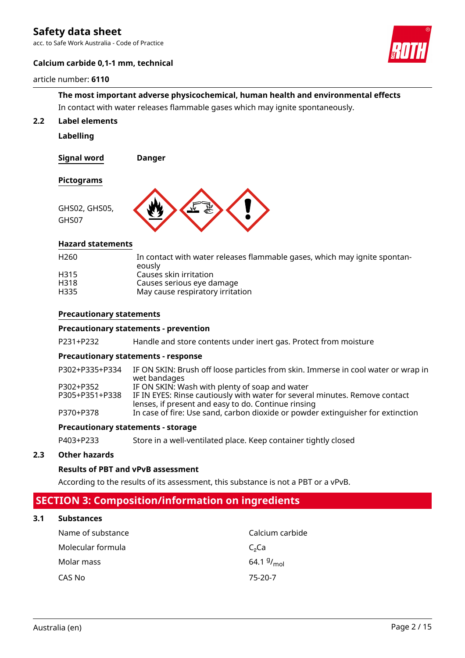acc. to Safe Work Australia - Code of Practice

## **Calcium carbide 0,1-1 mm, technical**

## article number: **6110**



# **The most important adverse physicochemical, human health and environmental effects**

In contact with water releases flammable gases which may ignite spontaneously.

**2.2 Label elements**

**Labelling**

**Signal word Danger**

## **Pictograms**



## **Hazard statements**

| H <sub>260</sub> | In contact with water releases flammable gases, which may ignite spontan-<br>eously |
|------------------|-------------------------------------------------------------------------------------|
| H <sub>315</sub> | Causes skin irritation                                                              |
| H318             | Causes serious eye damage                                                           |
| H335             | May cause respiratory irritation                                                    |
|                  |                                                                                     |

## **Precautionary statements**

## **Precautionary statements - prevention**

P231+P232 Handle and store contents under inert gas. Protect from moisture

## **Precautionary statements - response**

| P302+P335+P334 | IF ON SKIN: Brush off loose particles from skin. Immerse in cool water or wrap in<br>wet bandages |
|----------------|---------------------------------------------------------------------------------------------------|
| P302+P352      | IF ON SKIN: Wash with plenty of soap and water                                                    |
| P305+P351+P338 | IF IN EYES: Rinse cautiously with water for several minutes. Remove contact                       |
|                | lenses, if present and easy to do. Continue rinsing                                               |
| P370+P378      | In case of fire: Use sand, carbon dioxide or powder extinguisher for extinction                   |

#### **Precautionary statements - storage**

P403+P233 Store in a well-ventilated place. Keep container tightly closed

## **2.3 Other hazards**

## **Results of PBT and vPvB assessment**

According to the results of its assessment, this substance is not a PBT or a vPvB.

## **SECTION 3: Composition/information on ingredients**

## **3.1 Substances**

| Name of substance | Calcium carbide        |
|-------------------|------------------------|
| Molecular formula | C <sub>2</sub> Ca      |
| Molar mass        | 64.1 $9/_{\text{mol}}$ |
| CAS No            | 75-20-7                |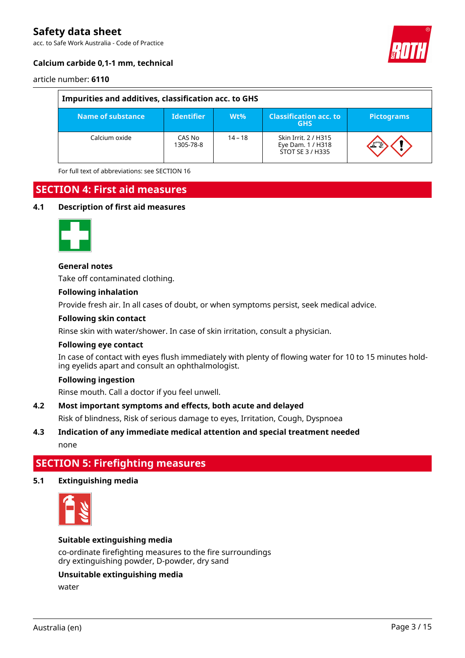acc. to Safe Work Australia - Code of Practice



## **Calcium carbide 0,1-1 mm, technical**

article number: **6110**

| Impurities and additives, classification acc. to GHS |                     |           |                                                               |                   |  |  |
|------------------------------------------------------|---------------------|-----------|---------------------------------------------------------------|-------------------|--|--|
| Name of substance                                    | <b>Identifier</b>   | Wt%       | <b>Classification acc. to</b><br><b>GHS</b>                   | <b>Pictograms</b> |  |  |
| Calcium oxide                                        | CAS No<br>1305-78-8 | $14 - 18$ | Skin Irrit. 2 / H315<br>Eye Dam. 1 / H318<br>STOT SE 3 / H335 |                   |  |  |

For full text of abbreviations: see SECTION 16

## **SECTION 4: First aid measures**

#### **4.1 Description of first aid measures**



#### **General notes**

Take off contaminated clothing.

#### **Following inhalation**

Provide fresh air. In all cases of doubt, or when symptoms persist, seek medical advice.

#### **Following skin contact**

Rinse skin with water/shower. In case of skin irritation, consult a physician.

#### **Following eye contact**

In case of contact with eyes flush immediately with plenty of flowing water for 10 to 15 minutes holding eyelids apart and consult an ophthalmologist.

## **Following ingestion**

Rinse mouth. Call a doctor if you feel unwell.

## **4.2 Most important symptoms and effects, both acute and delayed**

Risk of blindness, Risk of serious damage to eyes, Irritation, Cough, Dyspnoea

## **4.3 Indication of any immediate medical attention and special treatment needed**

none

## **SECTION 5: Firefighting measures**

#### **5.1 Extinguishing media**



## **Suitable extinguishing media**

co-ordinate firefighting measures to the fire surroundings dry extinguishing powder, D-powder, dry sand

#### **Unsuitable extinguishing media**

water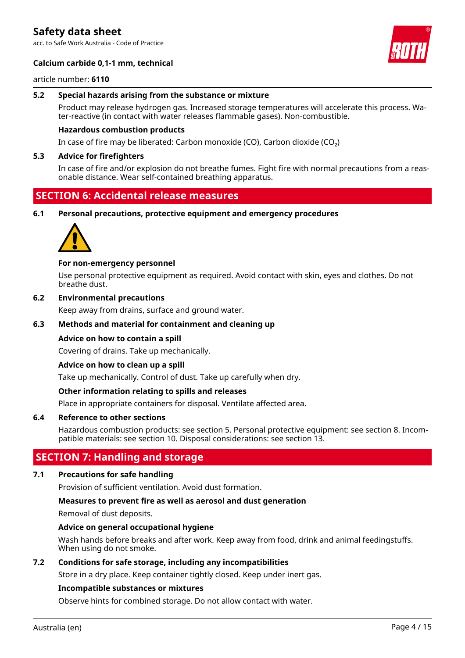acc. to Safe Work Australia - Code of Practice



## **Calcium carbide 0,1-1 mm, technical**

article number: **6110**

### **5.2 Special hazards arising from the substance or mixture**

Product may release hydrogen gas. Increased storage temperatures will accelerate this process. Water-reactive (in contact with water releases flammable gases). Non-combustible.

### **Hazardous combustion products**

In case of fire may be liberated: Carbon monoxide (CO), Carbon dioxide (CO₂)

#### **5.3 Advice for firefighters**

In case of fire and/or explosion do not breathe fumes. Fight fire with normal precautions from a reasonable distance. Wear self-contained breathing apparatus.

## **SECTION 6: Accidental release measures**

#### **6.1 Personal precautions, protective equipment and emergency procedures**



#### **For non-emergency personnel**

Use personal protective equipment as required. Avoid contact with skin, eyes and clothes. Do not breathe dust.

## **6.2 Environmental precautions**

Keep away from drains, surface and ground water.

### **6.3 Methods and material for containment and cleaning up**

#### **Advice on how to contain a spill**

Covering of drains. Take up mechanically.

#### **Advice on how to clean up a spill**

Take up mechanically. Control of dust. Take up carefully when dry.

### **Other information relating to spills and releases**

Place in appropriate containers for disposal. Ventilate affected area.

### **6.4 Reference to other sections**

Hazardous combustion products: see section 5. Personal protective equipment: see section 8. Incompatible materials: see section 10. Disposal considerations: see section 13.

## **SECTION 7: Handling and storage**

## **7.1 Precautions for safe handling**

Provision of sufficient ventilation. Avoid dust formation.

### **Measures to prevent fire as well as aerosol and dust generation**

Removal of dust deposits.

#### **Advice on general occupational hygiene**

Wash hands before breaks and after work. Keep away from food, drink and animal feedingstuffs. When using do not smoke.

## **7.2 Conditions for safe storage, including any incompatibilities**

Store in a dry place. Keep container tightly closed. Keep under inert gas.

## **Incompatible substances or mixtures**

Observe hints for combined storage. Do not allow contact with water.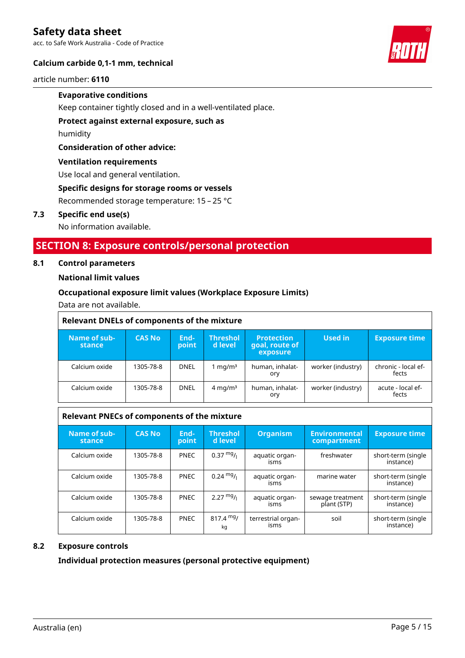acc. to Safe Work Australia - Code of Practice

## **Calcium carbide 0,1-1 mm, technical**

article number: **6110**

## **Evaporative conditions**

Keep container tightly closed and in a well-ventilated place.

**Protect against external exposure, such as**

humidity

## **Consideration of other advice:**

## **Ventilation requirements**

Use local and general ventilation.

## **Specific designs for storage rooms or vessels**

Recommended storage temperature: 15 – 25 °C

## **7.3 Specific end use(s)**

No information available.

## **SECTION 8: Exposure controls/personal protection**

## **8.1 Control parameters**

## **National limit values**

## **Occupational exposure limit values (Workplace Exposure Limits)**

Data are not available.

| <b>Relevant DNELs of components of the mixture</b> |               |               |                            |                                                 |                   |                              |  |  |
|----------------------------------------------------|---------------|---------------|----------------------------|-------------------------------------------------|-------------------|------------------------------|--|--|
| Name of sub-<br><b>stance</b>                      | <b>CAS No</b> | End-<br>point | <b>Threshol</b><br>d level | <b>Protection</b><br>goal, route of<br>exposure | Used in           | <b>Exposure time</b>         |  |  |
| Calcium oxide                                      | 1305-78-8     | <b>DNEL</b>   | 1 mg/m $3$                 | human, inhalat-<br>ory                          | worker (industry) | chronic - local ef-<br>fects |  |  |
| Calcium oxide                                      | 1305-78-8     | <b>DNEL</b>   | $4 \text{ mg/m}^3$         | human, inhalat-<br>ory                          | worker (industry) | acute - local ef-<br>fects   |  |  |

## **Relevant PNECs of components of the mixture**

| Name of sub-<br>stance | <b>CAS No</b> | End-<br>point | <b>Threshol</b><br>d level | <b>Organism</b>            | <b>Environmental</b><br><b>compartment</b> | <b>Exposure time</b>            |
|------------------------|---------------|---------------|----------------------------|----------------------------|--------------------------------------------|---------------------------------|
| Calcium oxide          | 1305-78-8     | <b>PNEC</b>   | $0.37 \frac{mg}{l}$        | aquatic organ-<br>isms     | freshwater                                 | short-term (single<br>instance) |
| Calcium oxide          | 1305-78-8     | <b>PNEC</b>   | $0.24 \text{ mg}/1$        | aquatic organ-<br>isms     | marine water                               | short-term (single<br>instance) |
| Calcium oxide          | 1305-78-8     | <b>PNEC</b>   | $2.27 \frac{mg}{l}$        | aquatic organ-<br>isms     | sewage treatment<br>plant (STP)            | short-term (single<br>instance) |
| Calcium oxide          | 1305-78-8     | <b>PNEC</b>   | $817.4 \text{ mg}$<br>kq   | terrestrial organ-<br>isms | soil                                       | short-term (single<br>instance) |

## **8.2 Exposure controls**

**Individual protection measures (personal protective equipment)**

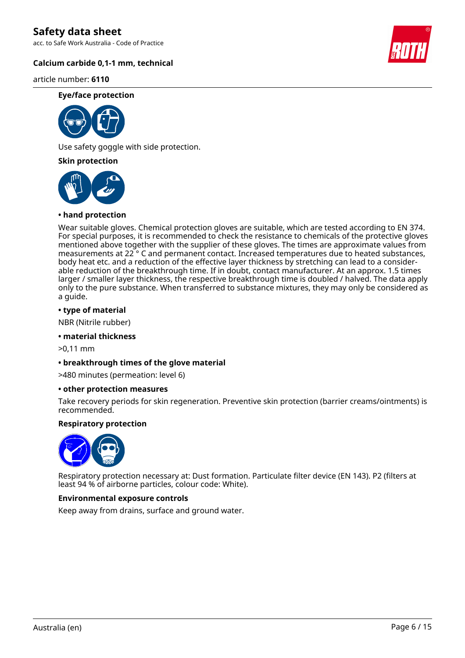acc. to Safe Work Australia - Code of Practice

## **Calcium carbide 0,1-1 mm, technical**

article number: **6110**

#### **Eye/face protection**



Use safety goggle with side protection.

**Skin protection**



## **• hand protection**

Wear suitable gloves. Chemical protection gloves are suitable, which are tested according to EN 374. For special purposes, it is recommended to check the resistance to chemicals of the protective gloves mentioned above together with the supplier of these gloves. The times are approximate values from measurements at 22 ° C and permanent contact. Increased temperatures due to heated substances, body heat etc. and a reduction of the effective layer thickness by stretching can lead to a considerable reduction of the breakthrough time. If in doubt, contact manufacturer. At an approx. 1.5 times larger / smaller layer thickness, the respective breakthrough time is doubled / halved. The data apply only to the pure substance. When transferred to substance mixtures, they may only be considered as a guide.

## **• type of material**

NBR (Nitrile rubber)

## **• material thickness**

>0,11 mm

## **• breakthrough times of the glove material**

>480 minutes (permeation: level 6)

## **• other protection measures**

Take recovery periods for skin regeneration. Preventive skin protection (barrier creams/ointments) is recommended.

## **Respiratory protection**



Respiratory protection necessary at: Dust formation. Particulate filter device (EN 143). P2 (filters at least 94 % of airborne particles, colour code: White).

## **Environmental exposure controls**

Keep away from drains, surface and ground water.

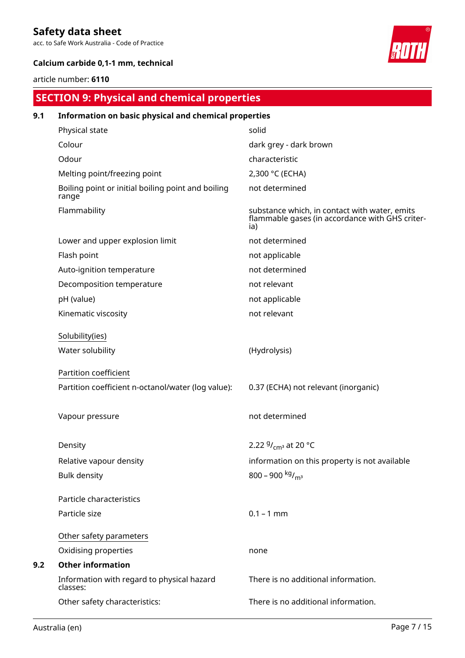acc. to Safe Work Australia - Code of Practice



## **Calcium carbide 0,1-1 mm, technical**

## article number: **6110**

## **SECTION 9: Physical and chemical properties**

| 9.1 | Information on basic physical and chemical properties       |                                                                                                         |  |  |  |  |
|-----|-------------------------------------------------------------|---------------------------------------------------------------------------------------------------------|--|--|--|--|
|     | Physical state                                              | solid                                                                                                   |  |  |  |  |
|     | Colour                                                      | dark grey - dark brown                                                                                  |  |  |  |  |
|     | Odour                                                       | characteristic                                                                                          |  |  |  |  |
|     | Melting point/freezing point                                | 2,300 °C (ECHA)                                                                                         |  |  |  |  |
|     | Boiling point or initial boiling point and boiling<br>range | not determined                                                                                          |  |  |  |  |
|     | Flammability                                                | substance which, in contact with water, emits<br>flammable gases (in accordance with GHS criter-<br>ia) |  |  |  |  |
|     | Lower and upper explosion limit                             | not determined                                                                                          |  |  |  |  |
|     | Flash point                                                 | not applicable                                                                                          |  |  |  |  |
|     | Auto-ignition temperature                                   | not determined                                                                                          |  |  |  |  |
|     | Decomposition temperature                                   | not relevant                                                                                            |  |  |  |  |
|     | pH (value)                                                  | not applicable                                                                                          |  |  |  |  |
|     | Kinematic viscosity                                         | not relevant                                                                                            |  |  |  |  |
|     | Solubility(ies)                                             |                                                                                                         |  |  |  |  |
|     | Water solubility                                            | (Hydrolysis)                                                                                            |  |  |  |  |
|     | Partition coefficient                                       |                                                                                                         |  |  |  |  |
|     | Partition coefficient n-octanol/water (log value):          | 0.37 (ECHA) not relevant (inorganic)                                                                    |  |  |  |  |
|     | Vapour pressure                                             | not determined                                                                                          |  |  |  |  |
|     | Density                                                     | 2.22 $9/_{cm^3}$ at 20 °C                                                                               |  |  |  |  |
|     | Relative vapour density                                     | information on this property is not available                                                           |  |  |  |  |
|     | <b>Bulk density</b>                                         | 800 - 900 kg/m <sup>3</sup>                                                                             |  |  |  |  |
|     | Particle characteristics                                    |                                                                                                         |  |  |  |  |
|     | Particle size                                               | $0.1 - 1$ mm                                                                                            |  |  |  |  |
|     | Other safety parameters                                     |                                                                                                         |  |  |  |  |
|     | Oxidising properties                                        | none                                                                                                    |  |  |  |  |
| 9.2 | <b>Other information</b>                                    |                                                                                                         |  |  |  |  |
|     | Information with regard to physical hazard<br>classes:      | There is no additional information.                                                                     |  |  |  |  |
|     | Other safety characteristics:                               | There is no additional information.                                                                     |  |  |  |  |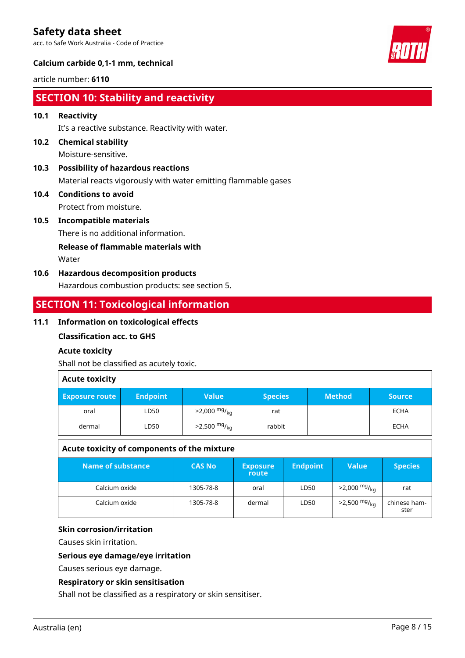acc. to Safe Work Australia - Code of Practice



## **Calcium carbide 0,1-1 mm, technical**

article number: **6110**

## **SECTION 10: Stability and reactivity**

## **10.1 Reactivity**

It's a reactive substance. Reactivity with water.

- **10.2 Chemical stability** Moisture-sensitive.
- **10.3 Possibility of hazardous reactions** Material reacts vigorously with water emitting flammable gases
- **10.4 Conditions to avoid** Protect from moisture.
- **10.5 Incompatible materials**

There is no additional information.

**Release of flammable materials with**

Water

**10.6 Hazardous decomposition products** Hazardous combustion products: see section 5.

## **SECTION 11: Toxicological information**

## **11.1 Information on toxicological effects**

## **Classification acc. to GHS**

## **Acute toxicity**

Shall not be classified as acutely toxic.

## **Acute toxicity**

| <b>Exposure route</b> | <b>Endpoint</b> | <b>Value</b>               | <b>Species</b> | <b>Method</b> | <b>Source</b> |
|-----------------------|-----------------|----------------------------|----------------|---------------|---------------|
| oral                  | LD50            | $>2,000$ mg/ <sub>kg</sub> | rat            |               | <b>ECHA</b>   |
| dermal                | LD50            | $>2,500$ mg/ <sub>kg</sub> | rabbit         |               | <b>ECHA</b>   |

## **Acute toxicity of components of the mixture**

| Name of substance | <b>CAS No</b> | <b>Exposure</b><br>route | <b>Endpoint</b> | Value                      | <b>Species</b>       |
|-------------------|---------------|--------------------------|-----------------|----------------------------|----------------------|
| Calcium oxide     | 1305-78-8     | oral                     | LD50            | $>2,000$ mg/ <sub>kg</sub> | rat                  |
| Calcium oxide     | 1305-78-8     | dermal                   | LD50            | $>2,500$ mg/ <sub>kg</sub> | chinese ham-<br>ster |

## **Skin corrosion/irritation**

Causes skin irritation.

## **Serious eye damage/eye irritation**

Causes serious eye damage.

## **Respiratory or skin sensitisation**

Shall not be classified as a respiratory or skin sensitiser.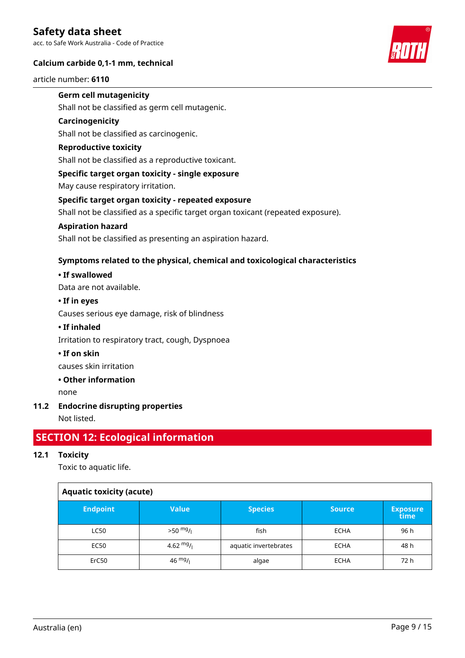acc. to Safe Work Australia - Code of Practice

## **Calcium carbide 0,1-1 mm, technical**

article number: **6110**



## **Germ cell mutagenicity**

Shall not be classified as germ cell mutagenic.

## **Carcinogenicity**

Shall not be classified as carcinogenic.

## **Reproductive toxicity**

Shall not be classified as a reproductive toxicant.

## **Specific target organ toxicity - single exposure**

May cause respiratory irritation.

## **Specific target organ toxicity - repeated exposure**

Shall not be classified as a specific target organ toxicant (repeated exposure).

## **Aspiration hazard**

Shall not be classified as presenting an aspiration hazard.

## **Symptoms related to the physical, chemical and toxicological characteristics**

## **• If swallowed**

Data are not available.

## **• If in eyes**

Causes serious eye damage, risk of blindness

## **• If inhaled**

Irritation to respiratory tract, cough, Dyspnoea

## **• If on skin**

causes skin irritation

## **• Other information**

none

## **11.2 Endocrine disrupting properties**

Not listed.

## **SECTION 12: Ecological information**

## **12.1 Toxicity**

Toxic to aquatic life.

| <b>Aquatic toxicity (acute)</b> |                   |                       |               |                         |  |  |  |  |
|---------------------------------|-------------------|-----------------------|---------------|-------------------------|--|--|--|--|
| <b>Endpoint</b>                 | <b>Value</b>      | <b>Species</b>        | <b>Source</b> | <b>Exposure</b><br>time |  |  |  |  |
| <b>LC50</b>                     | $>50$ mg/         | fish                  | <b>ECHA</b>   | 96 h                    |  |  |  |  |
| EC50                            | 4.62 $mg/1$       | aquatic invertebrates | <b>ECHA</b>   | 48 h                    |  |  |  |  |
| ErC50                           | $46 \frac{mg}{l}$ | algae                 | <b>ECHA</b>   | 72 h                    |  |  |  |  |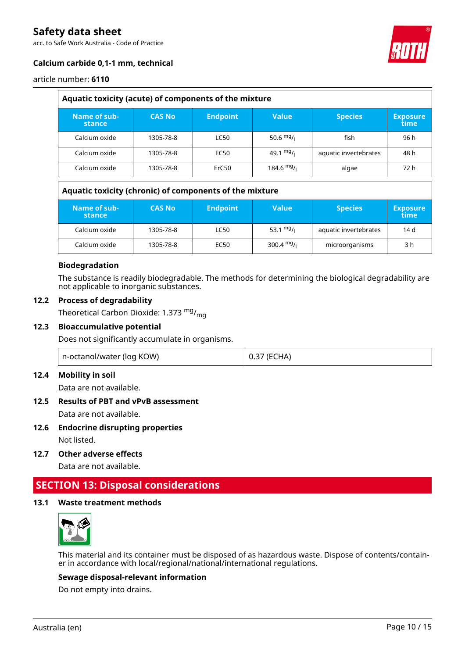acc. to Safe Work Australia - Code of Practice



## **Calcium carbide 0,1-1 mm, technical**

article number: **6110**

| Aquatic toxicity (acute) of components of the mixture |               |                 |             |                       |                         |
|-------------------------------------------------------|---------------|-----------------|-------------|-----------------------|-------------------------|
| Name of sub-<br>stance                                | <b>CAS No</b> | <b>Endpoint</b> | Value       | <b>Species</b>        | <b>Exposure</b><br>time |
| Calcium oxide                                         | 1305-78-8     | <b>LC50</b>     | 50.6 $mg/1$ | fish                  | 96 h                    |
| Calcium oxide                                         | 1305-78-8     | EC50            | 49.1 $mg/$  | aquatic invertebrates | 48 h                    |
| Calcium oxide                                         | 1305-78-8     | ErC50           | 184.6 $mg/$ | algae                 | 72 h                    |

## **Aquatic toxicity (chronic) of components of the mixture**

| Name of sub-<br>stance | <b>CAS No</b> | <b>Endpoint</b> | Value        | <b>Species</b>        | <b>Exposure</b><br>time |
|------------------------|---------------|-----------------|--------------|-----------------------|-------------------------|
| Calcium oxide          | 1305-78-8     | <b>LC50</b>     | 53.1 $mg/1$  | aquatic invertebrates | 14 d                    |
| Calcium oxide          | 1305-78-8     | EC50            | 300.4 $mg/1$ | microorganisms        | 3 h                     |

## **Biodegradation**

The substance is readily biodegradable. The methods for determining the biological degradability are not applicable to inorganic substances.

## **12.2 Process of degradability**

Theoretical Carbon Dioxide: 1.373  $mg/m<sub>0</sub>$ 

## **12.3 Bioaccumulative potential**

Does not significantly accumulate in organisms.

| n-octanol/water (log KOW) |  | 0.37 (ECHA) |
|---------------------------|--|-------------|
|---------------------------|--|-------------|

## **12.4 Mobility in soil**

Data are not available.

## **12.5 Results of PBT and vPvB assessment**

Data are not available.

- **12.6 Endocrine disrupting properties** Not listed.
- **12.7 Other adverse effects**

Data are not available.

## **SECTION 13: Disposal considerations**

## **13.1 Waste treatment methods**



This material and its container must be disposed of as hazardous waste. Dispose of contents/container in accordance with local/regional/national/international regulations.

## **Sewage disposal-relevant information**

Do not empty into drains.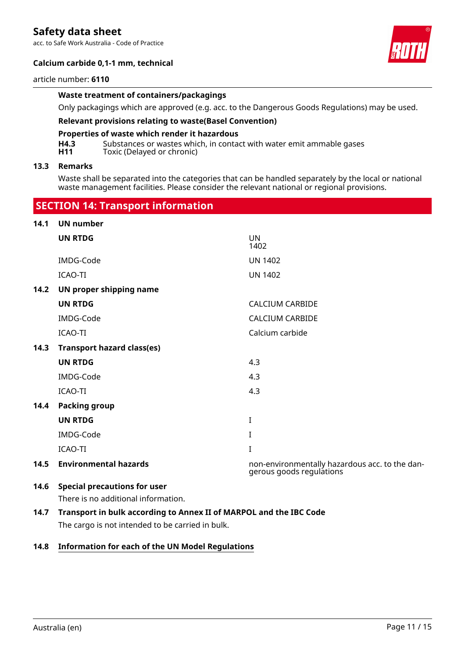acc. to Safe Work Australia - Code of Practice

## **Calcium carbide 0,1-1 mm, technical**

#### article number: **6110**

#### **Waste treatment of containers/packagings**

Only packagings which are approved (e.g. acc. to the Dangerous Goods Regulations) may be used.

## **Relevant provisions relating to waste(Basel Convention)**

#### **Properties of waste which render it hazardous**

 **SECTION 14: Transport information**

**H4.3** Substances or wastes which, in contact with water emit ammable gases<br>**H11** Toxic (Delaved or chronic) Toxic (Delayed or chronic)

### **13.3 Remarks**

Waste shall be separated into the categories that can be handled separately by the local or national waste management facilities. Please consider the relevant national or regional provisions.

| 14.1 | <b>UN number</b>                    |                                                                            |
|------|-------------------------------------|----------------------------------------------------------------------------|
|      | <b>UN RTDG</b>                      | UN.<br>1402                                                                |
|      | IMDG-Code                           | <b>UN 1402</b>                                                             |
|      | <b>ICAO-TI</b>                      | <b>UN 1402</b>                                                             |
| 14.2 | UN proper shipping name             |                                                                            |
|      | <b>UN RTDG</b>                      | <b>CALCIUM CARBIDE</b>                                                     |
|      | IMDG-Code                           | <b>CALCIUM CARBIDE</b>                                                     |
|      | <b>ICAO-TI</b>                      | Calcium carbide                                                            |
| 14.3 | <b>Transport hazard class(es)</b>   |                                                                            |
|      | <b>UN RTDG</b>                      | 4.3                                                                        |
|      | IMDG-Code                           | 4.3                                                                        |
|      | <b>ICAO-TI</b>                      | 4.3                                                                        |
| 14.4 | <b>Packing group</b>                |                                                                            |
|      | <b>UN RTDG</b>                      | I                                                                          |
|      | IMDG-Code                           | L                                                                          |
|      | <b>ICAO-TI</b>                      | I                                                                          |
| 14.5 | <b>Environmental hazards</b>        | non-environmentally hazardous acc. to the dan-<br>gerous goods regulations |
| 14.6 | <b>Special precautions for user</b> |                                                                            |

There is no additional information.

**14.7 Transport in bulk according to Annex II of MARPOL and the IBC Code** The cargo is not intended to be carried in bulk.

## **14.8 Information for each of the UN Model Regulations**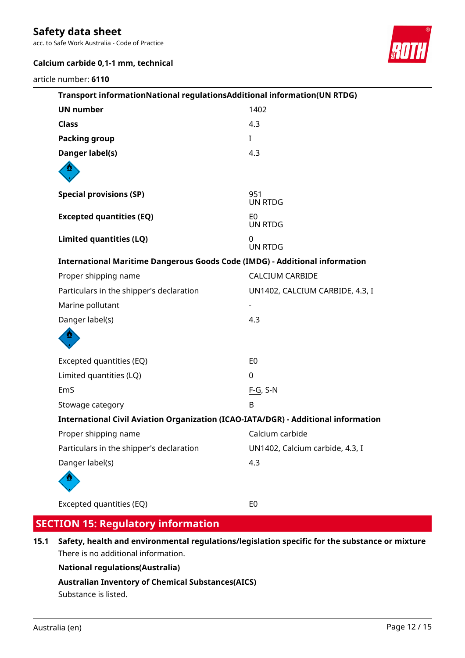acc. to Safe Work Australia - Code of Practice



## **Calcium carbide 0,1-1 mm, technical**

article number: **6110**

| Transport informationNational regulationsAdditional information(UN RTDG)           |                                 |  |  |
|------------------------------------------------------------------------------------|---------------------------------|--|--|
| <b>UN number</b>                                                                   | 1402                            |  |  |
| <b>Class</b>                                                                       | 4.3                             |  |  |
| <b>Packing group</b>                                                               | $\bf{I}$                        |  |  |
| <b>Danger label(s)</b>                                                             | 4.3                             |  |  |
|                                                                                    |                                 |  |  |
| <b>Special provisions (SP)</b>                                                     | 951<br><b>UN RTDG</b>           |  |  |
| <b>Excepted quantities (EQ)</b>                                                    | E <sub>0</sub><br>UN RTDG       |  |  |
| <b>Limited quantities (LQ)</b>                                                     | 0<br><b>UN RTDG</b>             |  |  |
| <b>International Maritime Dangerous Goods Code (IMDG) - Additional information</b> |                                 |  |  |
| Proper shipping name                                                               | <b>CALCIUM CARBIDE</b>          |  |  |
| Particulars in the shipper's declaration                                           | UN1402, CALCIUM CARBIDE, 4.3, I |  |  |
| Marine pollutant                                                                   |                                 |  |  |
| Danger label(s)                                                                    | 4.3                             |  |  |
|                                                                                    |                                 |  |  |
| Excepted quantities (EQ)                                                           | E <sub>0</sub>                  |  |  |
| Limited quantities (LQ)                                                            | 0                               |  |  |
| EmS                                                                                | $F-G, S-N$                      |  |  |
| Stowage category                                                                   | B                               |  |  |
| International Civil Aviation Organization (ICAO-IATA/DGR) - Additional information |                                 |  |  |
| Proper shipping name                                                               | Calcium carbide                 |  |  |
| Particulars in the shipper's declaration                                           | UN1402, Calcium carbide, 4.3, I |  |  |
| Danger label(s)                                                                    | 4.3                             |  |  |
|                                                                                    |                                 |  |  |
| Excepted quantities (EQ)                                                           | E <sub>0</sub>                  |  |  |

## **SECTION 15: Regulatory information**

**15.1 Safety, health and environmental regulations/legislation specific for the substance or mixture** There is no additional information.

**National regulations(Australia)**

**Australian Inventory of Chemical Substances(AICS)**

Substance is listed.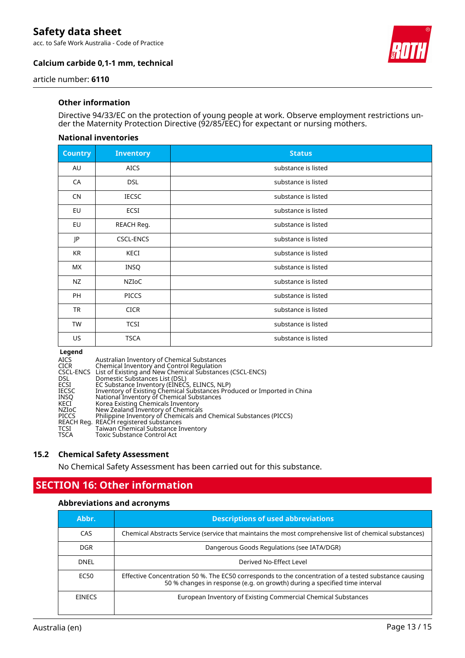acc. to Safe Work Australia - Code of Practice





article number: **6110**

## **Other information**

Directive 94/33/EC on the protection of young people at work. Observe employment restrictions under the Maternity Protection Directive (92/85/EEC) for expectant or nursing mothers.

## **National inventories**

| <b>Country</b> | <b>Inventory</b> | <b>Status</b>       |
|----------------|------------------|---------------------|
| AU             | <b>AICS</b>      | substance is listed |
| CA             | <b>DSL</b>       | substance is listed |
| <b>CN</b>      | <b>IECSC</b>     | substance is listed |
| EU             | ECSI             | substance is listed |
| EU             | REACH Reg.       | substance is listed |
| JP             | <b>CSCL-ENCS</b> | substance is listed |
| KR             | KECI             | substance is listed |
| МX             | INSQ             | substance is listed |
| <b>NZ</b>      | NZIOC            | substance is listed |
| <b>PH</b>      | <b>PICCS</b>     | substance is listed |
| <b>TR</b>      | <b>CICR</b>      | substance is listed |
| TW             | <b>TCSI</b>      | substance is listed |
| US             | <b>TSCA</b>      | substance is listed |

#### **Legend**

| AICS  | Australian Inventory of Chemical Substances                             |
|-------|-------------------------------------------------------------------------|
| CICR  | Chemical Inventory and Control Regulation                               |
|       | CSCL-ENCS List of Existing and New Chemical Substances (CSCL-ENCS)      |
| DSL.  | Domestic Substances List (DSL)                                          |
| ECSI  | EC Substance Inventory (EINECS, ELINCS, NLP)                            |
| IECSC | Inventory of Existing Chemical Substances Produced or Imported in China |
| INSO  | National Inventory of Chemical Substances                               |
| KECI  | Korea Existing Chemicals Inventory                                      |
| NZIoC | New Zealand Inventory of Chemicals                                      |
| PICCS | Philippine Inventory of Chemicals and Chemical Substances (PICCS)       |
|       | REACH Reg. REACH registered substances                                  |
| TCSI  | Taiwan Chemical Substance Inventory                                     |
| TSCA  | Toxic Substance Control Act                                             |
|       |                                                                         |

## **15.2 Chemical Safety Assessment**

No Chemical Safety Assessment has been carried out for this substance.

## **SECTION 16: Other information**

## **Abbreviations and acronyms**

| Abbr.         | <b>Descriptions of used abbreviations</b>                                                                                                                                           |
|---------------|-------------------------------------------------------------------------------------------------------------------------------------------------------------------------------------|
| CAS           | Chemical Abstracts Service (service that maintains the most comprehensive list of chemical substances)                                                                              |
| DGR.          | Dangerous Goods Regulations (see IATA/DGR)                                                                                                                                          |
| DNEL          | Derived No-Effect Level                                                                                                                                                             |
| EC50          | Effective Concentration 50 %. The EC50 corresponds to the concentration of a tested substance causing<br>50 % changes in response (e.g. on growth) during a specified time interval |
| <b>FINFCS</b> | European Inventory of Existing Commercial Chemical Substances                                                                                                                       |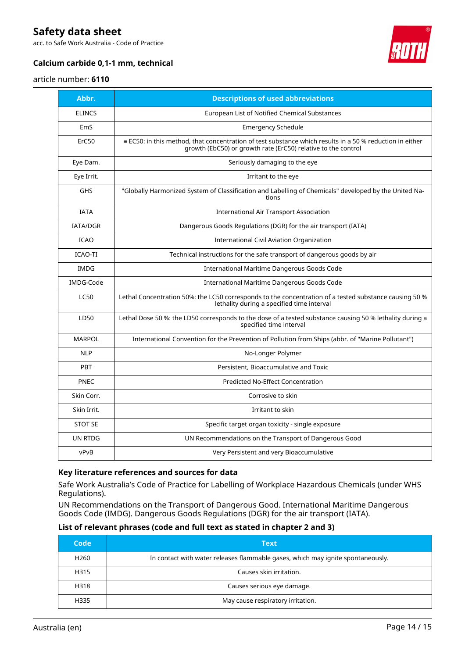acc. to Safe Work Australia - Code of Practice



## **Calcium carbide 0,1-1 mm, technical**

### article number: **6110**

| Abbr.           | <b>Descriptions of used abbreviations</b>                                                                                                                                        |
|-----------------|----------------------------------------------------------------------------------------------------------------------------------------------------------------------------------|
| <b>ELINCS</b>   | European List of Notified Chemical Substances                                                                                                                                    |
| EmS             | <b>Emergency Schedule</b>                                                                                                                                                        |
| ErC50           | $\equiv$ EC50: in this method, that concentration of test substance which results in a 50 % reduction in either<br>growth (EbC50) or growth rate (ErC50) relative to the control |
| Eye Dam.        | Seriously damaging to the eye                                                                                                                                                    |
| Eye Irrit.      | Irritant to the eye                                                                                                                                                              |
| <b>GHS</b>      | "Globally Harmonized System of Classification and Labelling of Chemicals" developed by the United Na-<br>tions                                                                   |
| <b>IATA</b>     | <b>International Air Transport Association</b>                                                                                                                                   |
| <b>IATA/DGR</b> | Dangerous Goods Regulations (DGR) for the air transport (IATA)                                                                                                                   |
| <b>ICAO</b>     | International Civil Aviation Organization                                                                                                                                        |
| ICAO-TI         | Technical instructions for the safe transport of dangerous goods by air                                                                                                          |
| <b>IMDG</b>     | International Maritime Dangerous Goods Code                                                                                                                                      |
| IMDG-Code       | International Maritime Dangerous Goods Code                                                                                                                                      |
| <b>LC50</b>     | Lethal Concentration 50%: the LC50 corresponds to the concentration of a tested substance causing 50 %<br>lethality during a specified time interval                             |
| LD50            | Lethal Dose 50 %: the LD50 corresponds to the dose of a tested substance causing 50 % lethality during a<br>specified time interval                                              |
| <b>MARPOL</b>   | International Convention for the Prevention of Pollution from Ships (abbr. of "Marine Pollutant")                                                                                |
| <b>NLP</b>      | No-Longer Polymer                                                                                                                                                                |
| <b>PBT</b>      | Persistent, Bioaccumulative and Toxic                                                                                                                                            |
| <b>PNEC</b>     | <b>Predicted No-Effect Concentration</b>                                                                                                                                         |
| Skin Corr.      | Corrosive to skin                                                                                                                                                                |
| Skin Irrit.     | Irritant to skin                                                                                                                                                                 |
| <b>STOT SE</b>  | Specific target organ toxicity - single exposure                                                                                                                                 |
| <b>UN RTDG</b>  | UN Recommendations on the Transport of Dangerous Good                                                                                                                            |
| vPvB            | Very Persistent and very Bioaccumulative                                                                                                                                         |

## **Key literature references and sources for data**

Safe Work Australia's Code of Practice for Labelling of Workplace Hazardous Chemicals (under WHS Regulations).

UN Recommendations on the Transport of Dangerous Good. International Maritime Dangerous Goods Code (IMDG). Dangerous Goods Regulations (DGR) for the air transport (IATA).

## **List of relevant phrases (code and full text as stated in chapter 2 and 3)**

| Code             | <b>Text</b>                                                                     |
|------------------|---------------------------------------------------------------------------------|
| H <sub>260</sub> | In contact with water releases flammable gases, which may ignite spontaneously. |
| H315             | Causes skin irritation.                                                         |
| H318             | Causes serious eye damage.                                                      |
| H335             | May cause respiratory irritation.                                               |